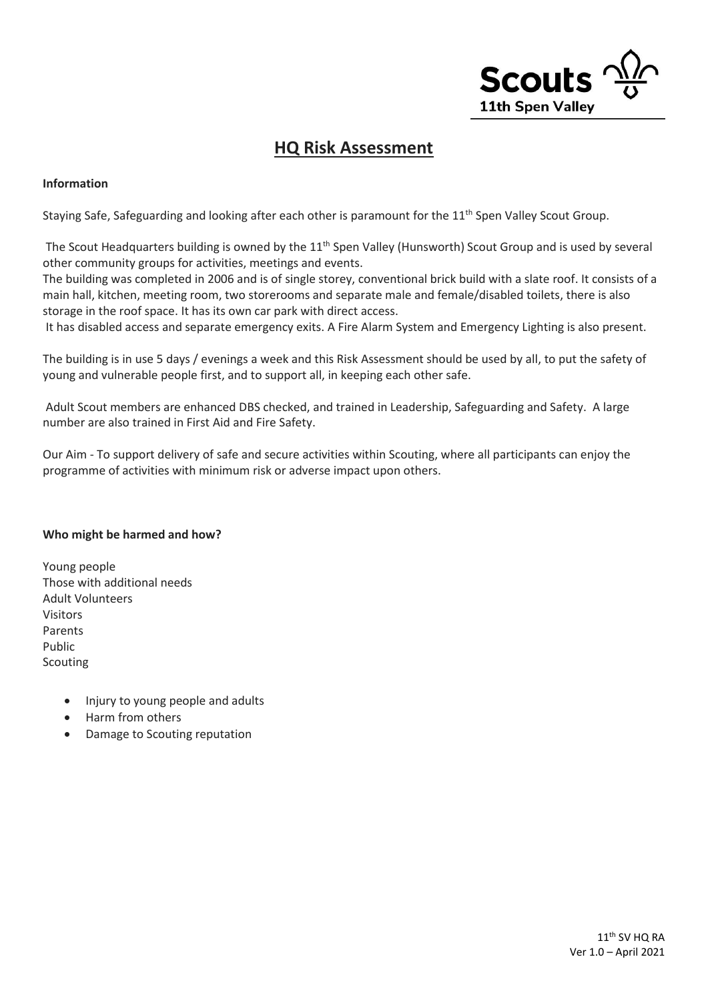

### **HQ Risk Assessment**

### **Information**

Staving Safe, Safeguarding and looking after each other is paramount for the 11<sup>th</sup> Spen Valley Scout Group.

The Scout Headquarters building is owned by the 11<sup>th</sup> Spen Valley (Hunsworth) Scout Group and is used by several other community groups for activities, meetings and events.

The building was completed in 2006 and is of single storey, conventional brick build with a slate roof. It consists of a main hall, kitchen, meeting room, two storerooms and separate male and female/disabled toilets, there is also storage in the roof space. It has its own car park with direct access.

It has disabled access and separate emergency exits. A Fire Alarm System and Emergency Lighting is also present.

The building is in use 5 days / evenings a week and this Risk Assessment should be used by all, to put the safety of young and vulnerable people first, and to support all, in keeping each other safe.

Adult Scout members are enhanced DBS checked, and trained in Leadership, Safeguarding and Safety. A large number are also trained in First Aid and Fire Safety.

Our Aim - To support delivery of safe and secure activities within Scouting, where all participants can enjoy the programme of activities with minimum risk or adverse impact upon others.

#### **Who might be harmed and how?**

- Young people Those with additional needs Adult Volunteers Visitors Parents Public Scouting
	- Injury to young people and adults
	- Harm from others
	- Damage to Scouting reputation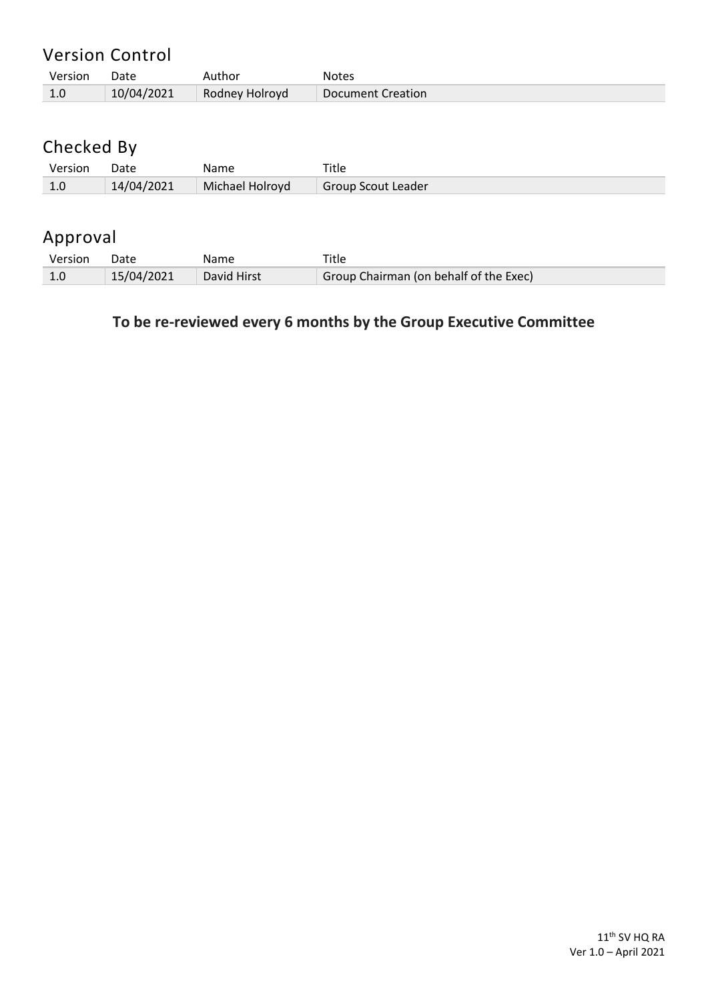| Version | Date       | Author         | <b>Notes</b>             |
|---------|------------|----------------|--------------------------|
|         | 10/04/2021 | Rodney Holroyd | <b>Document Creation</b> |

# Checked By

| Version | Date       | Name            |                    |
|---------|------------|-----------------|--------------------|
| 1.0     | 14/04/2021 | Michael Holroyd | Group Scout Leader |

## Approval

| Version | Date       | Name        |                                        |
|---------|------------|-------------|----------------------------------------|
|         | 15/04/2021 | David Hirst | Group Chairman (on behalf of the Exec) |

## **To be re-reviewed every 6 months by the Group Executive Committee**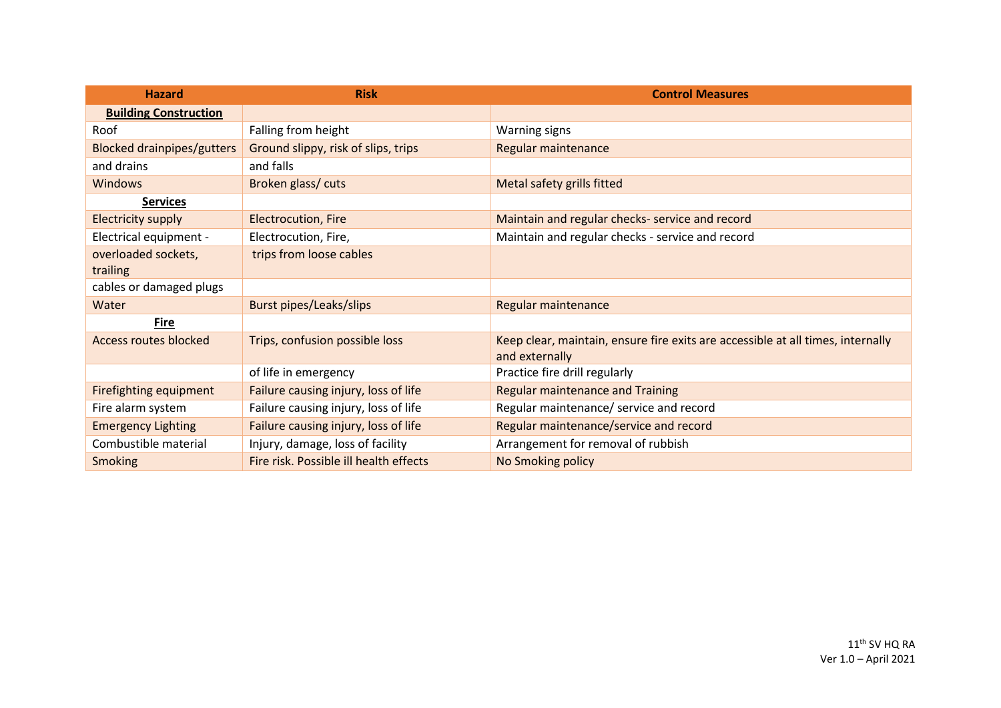| <b>Hazard</b>                     | <b>Risk</b>                            | <b>Control Measures</b>                                                                           |
|-----------------------------------|----------------------------------------|---------------------------------------------------------------------------------------------------|
| <b>Building Construction</b>      |                                        |                                                                                                   |
| Roof                              | Falling from height                    | <b>Warning signs</b>                                                                              |
| <b>Blocked drainpipes/gutters</b> | Ground slippy, risk of slips, trips    | Regular maintenance                                                                               |
| and drains                        | and falls                              |                                                                                                   |
| <b>Windows</b>                    | Broken glass/cuts                      | Metal safety grills fitted                                                                        |
| <b>Services</b>                   |                                        |                                                                                                   |
| <b>Electricity supply</b>         | <b>Electrocution, Fire</b>             | Maintain and regular checks- service and record                                                   |
| Electrical equipment -            | Electrocution, Fire,                   | Maintain and regular checks - service and record                                                  |
| overloaded sockets,               | trips from loose cables                |                                                                                                   |
| trailing                          |                                        |                                                                                                   |
| cables or damaged plugs           |                                        |                                                                                                   |
| Water                             | <b>Burst pipes/Leaks/slips</b>         | Regular maintenance                                                                               |
| <b>Fire</b>                       |                                        |                                                                                                   |
| <b>Access routes blocked</b>      | Trips, confusion possible loss         | Keep clear, maintain, ensure fire exits are accessible at all times, internally<br>and externally |
|                                   | of life in emergency                   | Practice fire drill regularly                                                                     |
| Firefighting equipment            | Failure causing injury, loss of life   | <b>Regular maintenance and Training</b>                                                           |
| Fire alarm system                 | Failure causing injury, loss of life   | Regular maintenance/ service and record                                                           |
| <b>Emergency Lighting</b>         | Failure causing injury, loss of life   | Regular maintenance/service and record                                                            |
| Combustible material              | Injury, damage, loss of facility       | Arrangement for removal of rubbish                                                                |
| <b>Smoking</b>                    | Fire risk. Possible ill health effects | No Smoking policy                                                                                 |